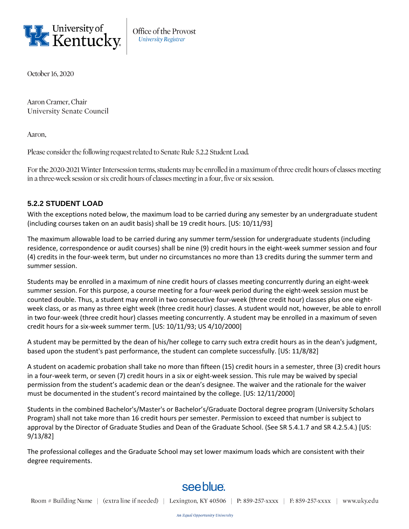

Office of the Provost **University Registrar** 

October 16, 2020

Aaron Cramer, Chair **University Senate Council** 

Aaron.

Please consider the following request related to Senate Rule 5.2.2 Student Load.

For the 2020-2021 Winter Intersession terms, students may be enrolled in a maximum of three credit hours of classes meeting in a three-week session or six credit hours of classes meeting in a four, five or six session.

## **5.2.2 STUDENT LOAD**

With the exceptions noted below, the maximum load to be carried during any semester by an undergraduate student (including courses taken on an audit basis) shall be 19 credit hours. [US: 10/11/93]

The maximum allowable load to be carried during any summer term/session for undergraduate students (including residence, correspondence or audit courses) shall be nine (9) credit hours in the eight-week summer session and four (4) credits in the four-week term, but under no circumstances no more than 13 credits during the summer term and summer session.

Students may be enrolled in a maximum of nine credit hours of classes meeting concurrently during an eight-week summer session. For this purpose, a course meeting for a four-week period during the eight-week session must be counted double. Thus, a student may enroll in two consecutive four-week (three credit hour) classes plus one eightweek class, or as many as three eight week (three credit hour) classes. A student would not, however, be able to enroll in two four-week (three credit hour) classes meeting concurrently. A student may be enrolled in a maximum of seven credit hours for a six-week summer term. [US: 10/11/93; US 4/10/2000]

A student may be permitted by the dean of his/her college to carry such extra credit hours as in the dean's judgment, based upon the student's past performance, the student can complete successfully. [US: 11/8/82]

A student on academic probation shall take no more than fifteen (15) credit hours in a semester, three (3) credit hours in a four-week term, or seven (7) credit hours in a six or eight-week session. This rule may be waived by special permission from the student's academic dean or the dean's designee. The waiver and the rationale for the waiver must be documented in the student's record maintained by the college. [US: 12/11/2000]

Students in the combined Bachelor's/Master's or Bachelor's/Graduate Doctoral degree program (University Scholars Program) shall not take more than 16 credit hours per semester. Permission to exceed that number is subject to approval by the Director of Graduate Studies and Dean of the Graduate School. (See SR 5.4.1.7 and SR 4.2.5.4.) [US: 9/13/82]

The professional colleges and the Graduate School may set lower maximum loads which are consistent with their degree requirements.

## see blue.

Room # Building Name | (extra line if needed) | Lexington, KY 40506 | P: 859-257-xxxx | F: 859-257-xxxx | www.uky.edu